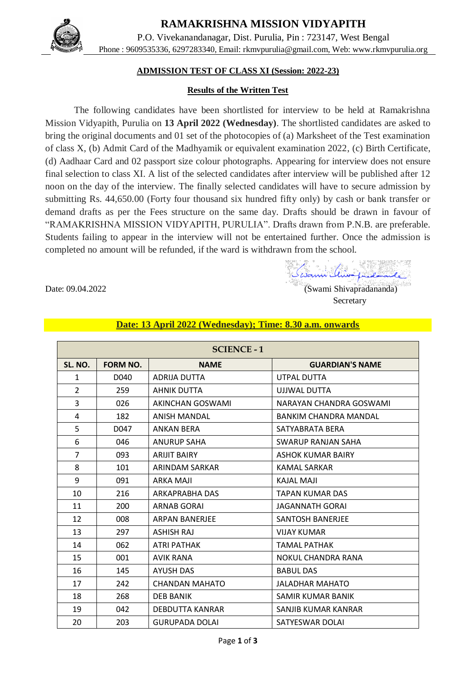**RAMAKRISHNA MISSION VIDYAPITH**



P.O. Vivekanandanagar, Dist. Purulia, Pin : 723147, West Bengal Phone : 9609535336, 6297283340, Email: [rkmvpurulia@gmail.com,](mailto:rkmvpurulia@gmail.com) Web: [www.rkmvpurulia.org](http://www.rkmvpurulia.org/)

### **ADMISSION TEST OF CLASS XI (Session: 2022-23)**

#### **Results of the Written Test**

The following candidates have been shortlisted for interview to be held at Ramakrishna Mission Vidyapith, Purulia on **13 April 2022 (Wednesday)**. The shortlisted candidates are asked to bring the original documents and 01 set of the photocopies of (a) Marksheet of the Test examination of class X, (b) Admit Card of the Madhyamik or equivalent examination 2022, (c) Birth Certificate, (d) Aadhaar Card and 02 passport size colour photographs. Appearing for interview does not ensure final selection to class XI. A list of the selected candidates after interview will be published after 12 noon on the day of the interview. The finally selected candidates will have to secure admission by submitting Rs. 44,650.00 (Forty four thousand six hundred fifty only) by cash or bank transfer or demand drafts as per the Fees structure on the same day. Drafts should be drawn in favour of "RAMAKRISHNA MISSION VIDYAPITH, PURULIA". Drafts drawn from P.N.B. are preferable. Students failing to appear in the interview will not be entertained further. Once the admission is completed no amount will be refunded, if the ward is withdrawn from the school.

Swami Minofuedamande

Date: 09.04.2022 (Swami Shivapradananda) **Secretary** 

| <b>SCIENCE - 1</b> |                 |                       |                           |
|--------------------|-----------------|-----------------------|---------------------------|
| SL. NO.            | <b>FORM NO.</b> | <b>NAME</b>           | <b>GUARDIAN'S NAME</b>    |
| $\mathbf{1}$       | D040            | <b>ADRIJA DUTTA</b>   | UTPAL DUTTA               |
| $\mathcal{P}$      | 259             | <b>AHNIK DUTTA</b>    | UJJWAL DUTTA              |
| 3                  | 026             | AKINCHAN GOSWAMI      | NARAYAN CHANDRA GOSWAMI   |
| 4                  | 182             | ANISH MANDAL          | BANKIM CHANDRA MANDAL     |
| 5                  | D047            | <b>ANKAN BERA</b>     | SATYABRATA BERA           |
| 6                  | 046             | <b>ANURUP SAHA</b>    | <b>SWARUP RANJAN SAHA</b> |
| $\overline{7}$     | 093             | <b>ARLIIT BAIRY</b>   | ASHOK KUMAR BAIRY         |
| 8                  | 101             | ARINDAM SARKAR        | <b>KAMAL SARKAR</b>       |
| 9                  | 091             | <b>ARKA MAJI</b>      | <b>KAJAL MAJI</b>         |
| 10                 | 216             | ARKAPRABHA DAS        | TAPAN KUMAR DAS           |
| 11                 | 200             | ARNAB GORAI           | JAGANNATH GORAI           |
| 12                 | 008             | <b>ARPAN BANERIFE</b> | <b>SANTOSH BANERIFE</b>   |
| 13                 | 297             | <b>ASHISH RAJ</b>     | <b>VIJAY KUMAR</b>        |
| 14                 | 062             | <b>ATRI PATHAK</b>    | <b>TAMAL PATHAK</b>       |
| 15                 | 001             | <b>AVIK RANA</b>      | <b>NOKUL CHANDRA RANA</b> |
| 16                 | 145             | AYUSH DAS             | <b>BABUL DAS</b>          |
| 17                 | 242             | CHANDAN MAHATO        | JALADHAR MAHATO           |
| 18                 | 268             | <b>DEB BANIK</b>      | SAMIR KUMAR BANIK         |
| 19                 | 042             | DEBDUTTA KANRAR       | SANJIB KUMAR KANRAR       |
| 20                 | 203             | <b>GURUPADA DOLAI</b> | SATYESWAR DOLAI           |

#### **Date: 13 April 2022 (Wednesday); Time: 8.30 a.m. onwards**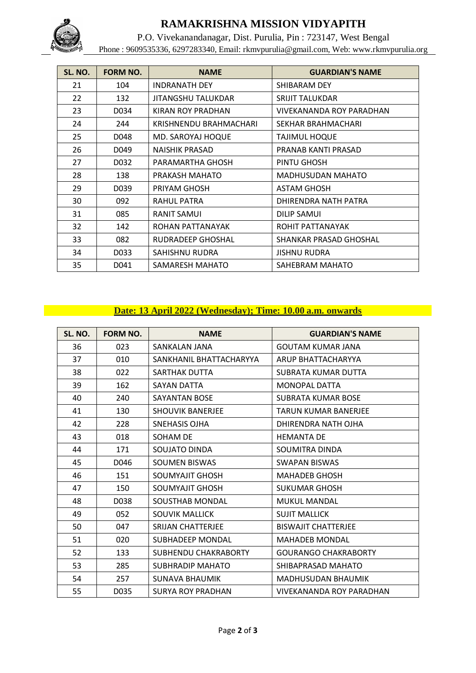

# **RAMAKRISHNA MISSION VIDYAPITH**

P.O. Vivekanandanagar, Dist. Purulia, Pin : 723147, West Bengal Phone : 9609535336, 6297283340, Email: [rkmvpurulia@gmail.com,](mailto:rkmvpurulia@gmail.com) Web: [www.rkmvpurulia.org](http://www.rkmvpurulia.org/)

| SL. NO. | <b>FORM NO.</b> | <b>NAME</b>            | <b>GUARDIAN'S NAME</b>   |
|---------|-----------------|------------------------|--------------------------|
| 21      | 104             | INDRANATH DEY          | SHIBARAM DEY             |
| 22      | 132             | JITANGSHU TALUKDAR     | <b>SRIJIT TALUKDAR</b>   |
| 23      | D034            | KIRAN ROY PRADHAN      | VIVEKANANDA ROY PARADHAN |
| 24      | 244             | KRISHNENDU BRAHMACHARI | SEKHAR BRAHMACHARI       |
| 25      | D048            | MD. SAROYAJ HOQUE      | TAJIMUL HOQUE            |
| 26      | D049            | <b>NAISHIK PRASAD</b>  | PRANAB KANTI PRASAD      |
| 27      | D032            | PARAMARTHA GHOSH       | PINTU GHOSH              |
| 28      | 138             | PRAKASH MAHATO         | <b>MADHUSUDAN MAHATO</b> |
| 29      | D039            | PRIYAM GHOSH           | <b>ASTAM GHOSH</b>       |
| 30      | 092             | RAHUL PATRA            | DHIRENDRA NATH PATRA     |
| 31      | 085             | RANIT SAMUI            | DILIP SAMUI              |
| 32      | 142             | ROHAN PATTANAYAK       | ROHIT PATTANAYAK         |
| 33      | 082             | RUDRADEEP GHOSHAL      | SHANKAR PRASAD GHOSHAL   |
| 34      | D033            | SAHISHNU RUDRA         | <b>JISHNU RUDRA</b>      |
| 35      | D041            | SAMARESH MAHATO        | SAHEBRAM MAHATO          |

## **Date: 13 April 2022 (Wednesday); Time: 10.00 a.m. onwards**

| SL. NO. | <b>FORM NO.</b> | <b>NAME</b>              | <b>GUARDIAN'S NAME</b>          |
|---------|-----------------|--------------------------|---------------------------------|
| 36      | 023             | SANKALAN JANA            | <b>GOUTAM KUMAR JANA</b>        |
| 37      | 010             | SANKHANIL BHATTACHARYYA  | ARUP BHATTACHARYYA              |
| 38      | 022             | SARTHAK DUTTA            | SUBRATA KUMAR DUTTA             |
| 39      | 162             | SAYAN DATTA              | MONOPAL DATTA                   |
| 40      | 240             | SAYANTAN BOSE            | SUBRATA KUMAR BOSE              |
| 41      | 130             | <b>SHOUVIK BANERJEE</b>  | TARUN KUMAR BANERJEE            |
| 42      | 228             | <b>SNEHASIS OJHA</b>     | DHIRENDRA NATH OJHA             |
| 43      | 018             | SOHAM DE                 | <b>HEMANTA DE</b>               |
| 44      | 171             | SOUJATO DINDA            | SOUMITRA DINDA                  |
| 45      | D046            | <b>SOUMEN BISWAS</b>     | <b>SWAPAN BISWAS</b>            |
| 46      | 151             | SOUMYAJIT GHOSH          | <b>MAHADEB GHOSH</b>            |
| 47      | 150             | SOUMYAJIT GHOSH          | <b>SUKUMAR GHOSH</b>            |
| 48      | D038            | SOUSTHAB MONDAL          | <b>MUKUL MANDAL</b>             |
| 49      | 052             | <b>SOUVIK MALLICK</b>    | <b>SUJIT MALLICK</b>            |
| 50      | 047             | SRIJAN CHATTERJEE        | <b>BISWAJIT CHATTERJEE</b>      |
| 51      | 020             | SUBHADEEP MONDAL         | <b>MAHADEB MONDAL</b>           |
| 52      | 133             | SUBHENDU CHAKRABORTY     | <b>GOURANGO CHAKRABORTY</b>     |
| 53      | 285             | <b>SUBHRADIP MAHATO</b>  | SHIBAPRASAD MAHATO              |
| 54      | 257             | <b>SUNAVA BHAUMIK</b>    | MADHUSUDAN BHAUMIK              |
| 55      | D035            | <b>SURYA ROY PRADHAN</b> | <b>VIVEKANANDA ROY PARADHAN</b> |